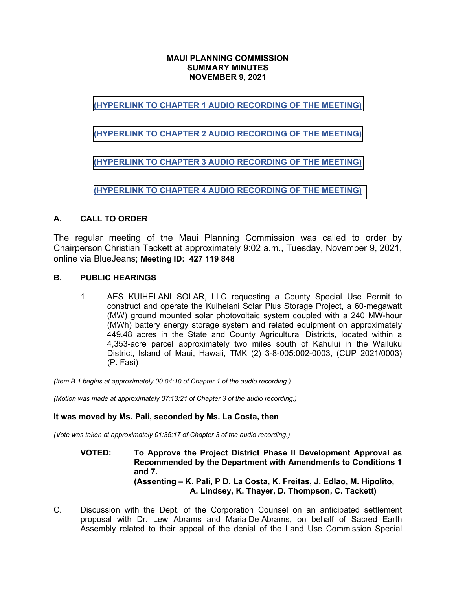### **MAUI PLANNING COMMISSION SUMMARY MINUTES NOVEMBER 9, 2021**

# **[\(HYPERLINK TO CHAPTER 1 AUDIO RECORDING OF THE MEETING\)](https://www.mauicounty.gov/DocumentCenter/View/130321/110921_Maui-PC_audio-recording-of-meeting_Chapter-1)**

## **[\(HYPERLINK TO CHAPTER 2 AUDIO RECORDING OF THE MEETING\)](https://www.mauicounty.gov/DocumentCenter/View/130322/110921_Maui-PC_audio-recording-of-meeting_Chapter-2)**

# **[\(HYPERLINK TO CHAPTER 3 AUDIO RECORDING OF THE MEETING\)](https://www.mauicounty.gov/DocumentCenter/View/130323/110921_Maui-PC_audio-recording-of-meeting_Chapter-3)**

**[\(HYPERLINK TO CHAPTER 4 AUDIO RECORDING OF THE MEETING\)](https://www.mauicounty.gov/DocumentCenter/View/130324/110921_Maui-PC_audio-recording-of-meeting_Chapter-4)**

### **A. CALL TO ORDER**

The regular meeting of the Maui Planning Commission was called to order by Chairperson Christian Tackett at approximately 9:02 a.m., Tuesday, November 9, 2021, online via BlueJeans; **Meeting ID: 427 119 848**

### **B. PUBLIC HEARINGS**

1. AES KUIHELANI SOLAR, LLC requesting a County Special Use Permit to construct and operate the Kuihelani Solar Plus Storage Project, a 60-megawatt (MW) ground mounted solar photovoltaic system coupled with a 240 MW-hour (MWh) battery energy storage system and related equipment on approximately 449.48 acres in the State and County Agricultural Districts, located within a 4,353-acre parcel approximately two miles south of Kahului in the Wailuku District, Island of Maui, Hawaii, TMK (2) 3-8-005:002-0003, (CUP 2021/0003) (P. Fasi)

*(Item B.1 begins at approximately 00:04:10 of Chapter 1 of the audio recording.)*

*(Motion was made at approximately 07:13:21 of Chapter 3 of the audio recording.)*

### **It was moved by Ms. Pali, seconded by Ms. La Costa, then**

*(Vote was taken at approximately 01:35:17 of Chapter 3 of the audio recording.)*

**VOTED: To Approve the Project District Phase II Development Approval as Recommended by the Department with Amendments to Conditions 1 and 7. (Assenting – K. Pali, P D. La Costa, K. Freitas, J. Edlao, M. Hipolito, A. Lindsey, K. Thayer, D. Thompson, C. Tackett)**

C. Discussion with the Dept. of the Corporation Counsel on an anticipated settlement proposal with Dr. Lew Abrams and Maria De Abrams, on behalf of Sacred Earth Assembly related to their appeal of the denial of the Land Use Commission Special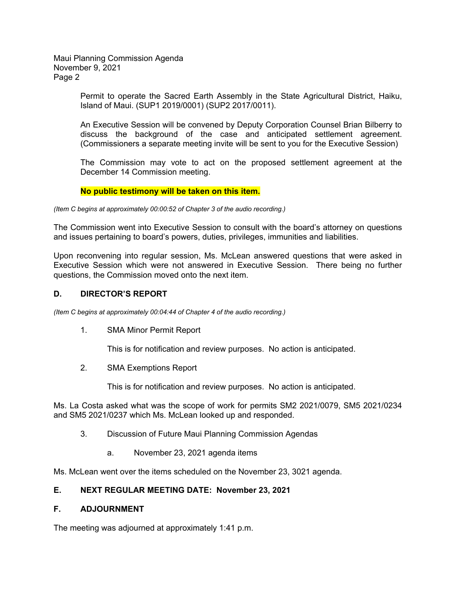Maui Planning Commission Agenda November 9, 2021 Page 2

> Permit to operate the Sacred Earth Assembly in the State Agricultural District, Haiku, Island of Maui. (SUP1 2019/0001) (SUP2 2017/0011).

> An Executive Session will be convened by Deputy Corporation Counsel Brian Bilberry to discuss the background of the case and anticipated settlement agreement. (Commissioners a separate meeting invite will be sent to you for the Executive Session)

> The Commission may vote to act on the proposed settlement agreement at the December 14 Commission meeting.

#### **No public testimony will be taken on this item.**

*(Item C begins at approximately 00:00:52 of Chapter 3 of the audio recording.)*

The Commission went into Executive Session to consult with the board's attorney on questions and issues pertaining to board's powers, duties, privileges, immunities and liabilities.

Upon reconvening into regular session, Ms. McLean answered questions that were asked in Executive Session which were not answered in Executive Session. There being no further questions, the Commission moved onto the next item.

#### **D. DIRECTOR'S REPORT**

*(Item C begins at approximately 00:04:44 of Chapter 4 of the audio recording.)*

1. SMA Minor Permit Report

This is for notification and review purposes. No action is anticipated.

2. SMA Exemptions Report

This is for notification and review purposes. No action is anticipated.

Ms. La Costa asked what was the scope of work for permits SM2 2021/0079, SM5 2021/0234 and SM5 2021/0237 which Ms. McLean looked up and responded.

- 3. Discussion of Future Maui Planning Commission Agendas
	- a. November 23, 2021 agenda items

Ms. McLean went over the items scheduled on the November 23, 3021 agenda.

#### **E. NEXT REGULAR MEETING DATE: November 23, 2021**

#### **F. ADJOURNMENT**

The meeting was adjourned at approximately 1:41 p.m.